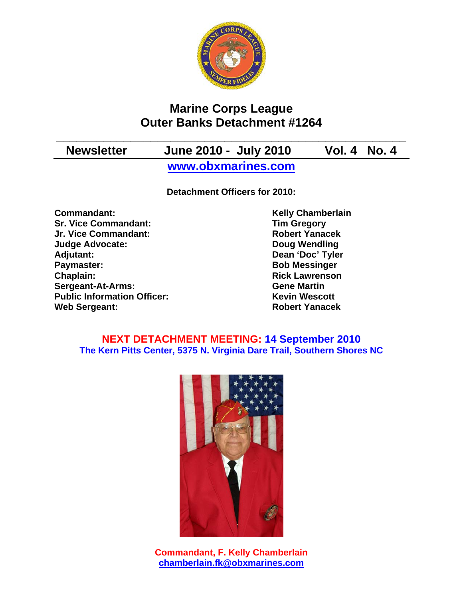

# **Marine Corps League Outer Banks Detachment #1264**

**\_\_\_\_\_\_\_\_\_\_\_\_\_\_\_\_\_\_\_\_\_\_\_\_\_\_\_\_\_\_\_\_\_\_\_\_\_\_\_\_\_\_\_\_\_\_\_\_\_\_\_\_** 

# **Newsletter June 2010 - July 2010 Vol. 4 No. 4**

**www.obxmarines.com**

**Detachment Officers for 2010:** 

**Commandant:** Kelly Chamberlain<br>
Sr. Vice Commandant: Sr. Vice Commandant: Tim Gregory **Sr. Vice Commandant: Jr. Vice Commandant: Robert Yanacek Judge Advocate: Doug Wendling Adjutant: Dean 'Doc' Tyler Paymaster:** Bob Messinger **Chaplain: Chaplain: Rick Lawrenson Sergeant-At-Arms: Gene Martin Public Information Officer:** Kevin Wescott **Web Sergeant: Robert Yanacek Robert Yanacek** 

### **NEXT DETACHMENT MEETING: 14 September 2010 The Kern Pitts Center, 5375 N. Virginia Dare Trail, Southern Shores NC**



**Commandant, F. Kelly Chamberlain chamberlain.fk@obxmarines.com**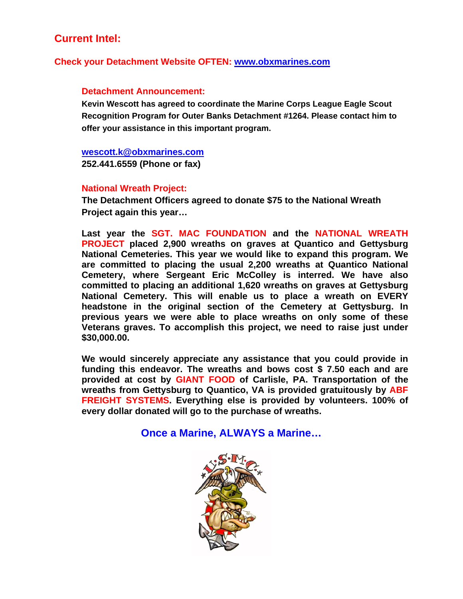# **Current Intel:**

### **Check your Detachment Website OFTEN: www.obxmarines.com**

#### **Detachment Announcement:**

**Kevin Wescott has agreed to coordinate the Marine Corps League Eagle Scout Recognition Program for Outer Banks Detachment #1264. Please contact him to offer your assistance in this important program.** 

#### **wescott.k@obxmarines.com**

**252.441.6559 (Phone or fax)** 

### **National Wreath Project:**

**The Detachment Officers agreed to donate \$75 to the National Wreath Project again this year…** 

**Last year the SGT. MAC FOUNDATION and the NATIONAL WREATH PROJECT placed 2,900 wreaths on graves at Quantico and Gettysburg National Cemeteries. This year we would like to expand this program. We are committed to placing the usual 2,200 wreaths at Quantico National Cemetery, where Sergeant Eric McColley is interred. We have also committed to placing an additional 1,620 wreaths on graves at Gettysburg National Cemetery. This will enable us to place a wreath on EVERY headstone in the original section of the Cemetery at Gettysburg. In previous years we were able to place wreaths on only some of these Veterans graves. To accomplish this project, we need to raise just under \$30,000.00.** 

**We would sincerely appreciate any assistance that you could provide in funding this endeavor. The wreaths and bows cost \$ 7.50 each and are provided at cost by GIANT FOOD of Carlisle, PA. Transportation of the wreaths from Gettysburg to Quantico, VA is provided gratuitously by ABF FREIGHT SYSTEMS. Everything else is provided by volunteers. 100% of every dollar donated will go to the purchase of wreaths.**

### **Once a Marine, ALWAYS a Marine…**

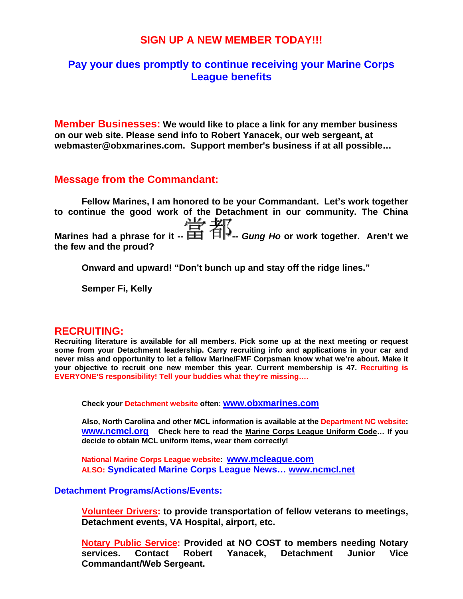### **SIGN UP A NEW MEMBER TODAY!!!**

### **Pay your dues promptly to continue receiving your Marine Corps League benefits**

**Member Businesses: We would like to place a link for any member business on our web site. Please send info to Robert Yanacek, our web sergeant, at webmaster@obxmarines.com. Support member's business if at all possible…** 

### **Message from the Commandant:**

**Fellow Marines, I am honored to be your Commandant. Let's work together to continue the good work of the Detachment in our community. The China Marines had a phrase for it --**  $\frac{114}{111}$  <del>4</del><sup> $\frac{1}{111}$  *Gung Ho* or work together. Aren't we</sup> **the few and the proud?** 

**Onward and upward! "Don't bunch up and stay off the ridge lines."** 

**Semper Fi, Kelly** 

### **RECRUITING:**

**Recruiting literature is available for all members. Pick some up at the next meeting or request some from your Detachment leadership. Carry recruiting info and applications in your car and never miss and opportunity to let a fellow Marine/FMF Corpsman know what we're about. Make it your objective to recruit one new member this year. Current membership is 47. Recruiting is EVERYONE'S responsibility! Tell your buddies what they're missing….** 

**Check your Detachment website often: www.obxmarines.com**

**Also, North Carolina and other MCL information is available at the Department NC website: www.ncmcl.org Check here to read the Marine Corps League Uniform Code… If you decide to obtain MCL uniform items, wear them correctly!** 

**National Marine Corps League website: www.mcleague.com ALSO: Syndicated Marine Corps League News… www.ncmcl.net** 

#### **Detachment Programs/Actions/Events:**

**Volunteer Drivers: to provide transportation of fellow veterans to meetings, Detachment events, VA Hospital, airport, etc.** 

**Notary Public Service: Provided at NO COST to members needing Notary services. Contact Robert Yanacek, Detachment Junior Vice Commandant/Web Sergeant.**